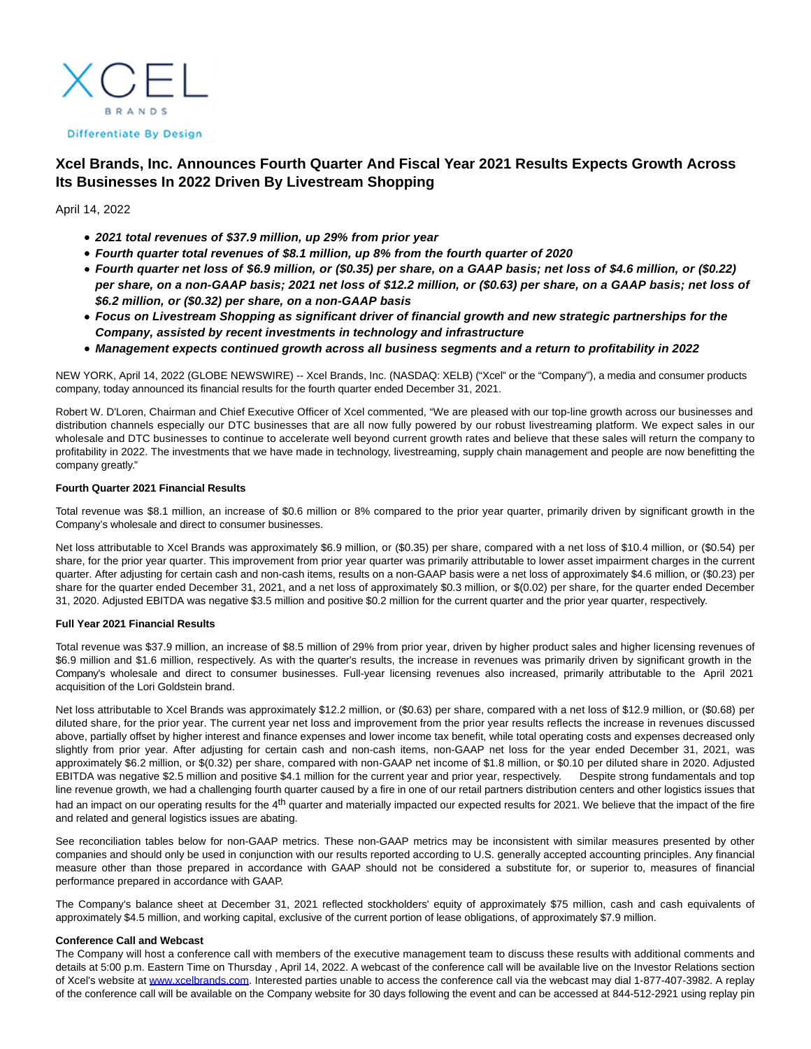**BRANDS** 

#### **Differentiate By Design**

# **Xcel Brands, Inc. Announces Fourth Quarter And Fiscal Year 2021 Results Expects Growth Across Its Businesses In 2022 Driven By Livestream Shopping**

April 14, 2022

- **2021 total revenues of \$37.9 million, up 29% from prior year**
- **Fourth quarter total revenues of \$8.1 million, up 8% from the fourth quarter of 2020**
- **Fourth quarter net loss of \$6.9 million, or (\$0.35) per share, on a GAAP basis; net loss of \$4.6 million, or (\$0.22) per share, on a non-GAAP basis; 2021 net loss of \$12.2 million, or (\$0.63) per share, on a GAAP basis; net loss of \$6.2 million, or (\$0.32) per share, on a non-GAAP basis**
- **Focus on Livestream Shopping as significant driver of financial growth and new strategic partnerships for the Company, assisted by recent investments in technology and infrastructure**
- **Management expects continued growth across all business segments and a return to profitability in 2022**

NEW YORK, April 14, 2022 (GLOBE NEWSWIRE) -- Xcel Brands, Inc. (NASDAQ: XELB) ("Xcel" or the "Company"), a media and consumer products company, today announced its financial results for the fourth quarter ended December 31, 2021.

Robert W. D'Loren, Chairman and Chief Executive Officer of Xcel commented, "We are pleased with our top-line growth across our businesses and distribution channels especially our DTC businesses that are all now fully powered by our robust livestreaming platform. We expect sales in our wholesale and DTC businesses to continue to accelerate well beyond current growth rates and believe that these sales will return the company to profitability in 2022. The investments that we have made in technology, livestreaming, supply chain management and people are now benefitting the company greatly."

# **Fourth Quarter 2021 Financial Results**

Total revenue was \$8.1 million, an increase of \$0.6 million or 8% compared to the prior year quarter, primarily driven by significant growth in the Company's wholesale and direct to consumer businesses.

Net loss attributable to Xcel Brands was approximately \$6.9 million, or (\$0.35) per share, compared with a net loss of \$10.4 million, or (\$0.54) per share, for the prior year quarter. This improvement from prior year quarter was primarily attributable to lower asset impairment charges in the current quarter. After adjusting for certain cash and non-cash items, results on a non-GAAP basis were a net loss of approximately \$4.6 million, or (\$0.23) per share for the quarter ended December 31, 2021, and a net loss of approximately \$0.3 million, or \$(0.02) per share, for the quarter ended December 31, 2020. Adjusted EBITDA was negative \$3.5 million and positive \$0.2 million for the current quarter and the prior year quarter, respectively.

# **Full Year 2021 Financial Results**

Total revenue was \$37.9 million, an increase of \$8.5 million of 29% from prior year, driven by higher product sales and higher licensing revenues of \$6.9 million and \$1.6 million, respectively. As with the quarter's results, the increase in revenues was primarily driven by significant growth in the Company's wholesale and direct to consumer businesses. Full-year licensing revenues also increased, primarily attributable to the April 2021 acquisition of the Lori Goldstein brand.

Net loss attributable to Xcel Brands was approximately \$12.2 million, or (\$0.63) per share, compared with a net loss of \$12.9 million, or (\$0.68) per diluted share, for the prior year. The current year net loss and improvement from the prior year results reflects the increase in revenues discussed above, partially offset by higher interest and finance expenses and lower income tax benefit, while total operating costs and expenses decreased only slightly from prior year. After adjusting for certain cash and non-cash items, non-GAAP net loss for the year ended December 31, 2021, was approximately \$6.2 million, or \$(0.32) per share, compared with non-GAAP net income of \$1.8 million, or \$0.10 per diluted share in 2020. Adjusted EBITDA was negative \$2.5 million and positive \$4.1 million for the current year and prior year, respectively. Despite strong fundamentals and top line revenue growth, we had a challenging fourth quarter caused by a fire in one of our retail partners distribution centers and other logistics issues that had an impact on our operating results for the 4<sup>th</sup> quarter and materially impacted our expected results for 2021. We believe that the impact of the fire and related and general logistics issues are abating.

See reconciliation tables below for non-GAAP metrics. These non-GAAP metrics may be inconsistent with similar measures presented by other companies and should only be used in conjunction with our results reported according to U.S. generally accepted accounting principles. Any financial measure other than those prepared in accordance with GAAP should not be considered a substitute for, or superior to, measures of financial performance prepared in accordance with GAAP.

The Company's balance sheet at December 31, 2021 reflected stockholders' equity of approximately \$75 million, cash and cash equivalents of approximately \$4.5 million, and working capital, exclusive of the current portion of lease obligations, of approximately \$7.9 million.

### **Conference Call and Webcast**

The Company will host a conference call with members of the executive management team to discuss these results with additional comments and details at 5:00 p.m. Eastern Time on Thursday , April 14, 2022. A webcast of the conference call will be available live on the Investor Relations section of Xcel's website at [www.xcelbrands.com.](http://www.xcelbrands.com/) Interested parties unable to access the conference call via the webcast may dial 1-877-407-3982. A replay of the conference call will be available on the Company website for 30 days following the event and can be accessed at 844-512-2921 using replay pin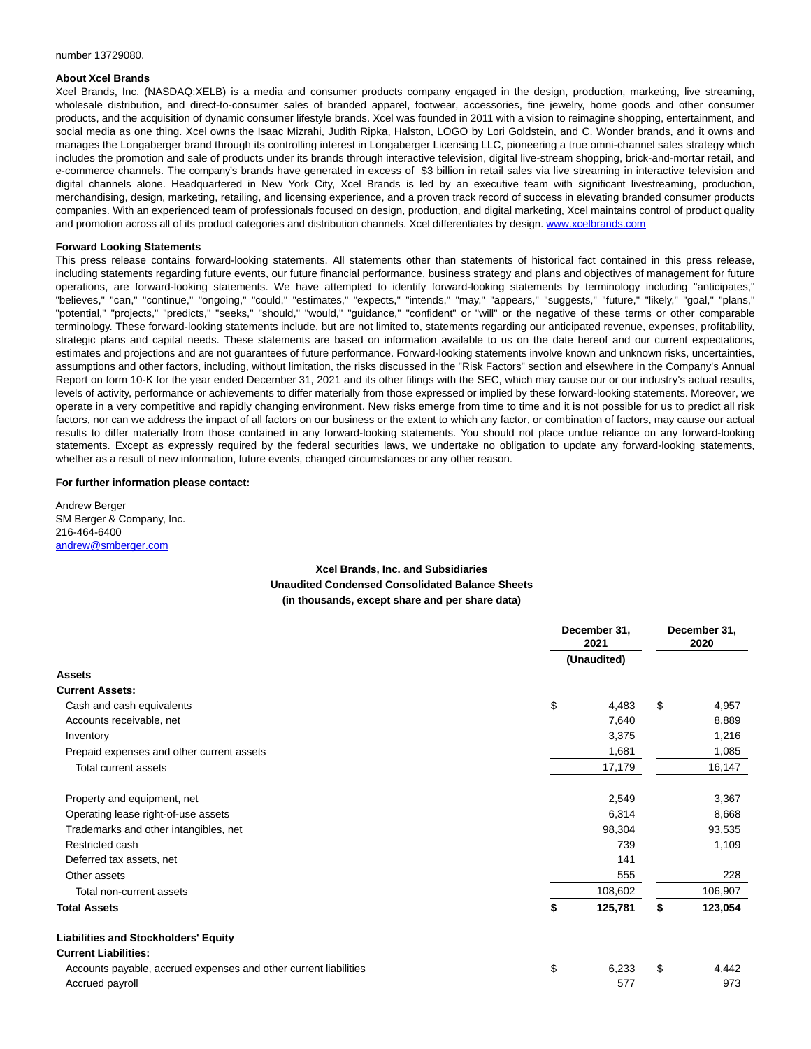#### number 13729080.

### **About Xcel Brands**

Xcel Brands, Inc. (NASDAQ:XELB) is a media and consumer products company engaged in the design, production, marketing, live streaming, wholesale distribution, and direct-to-consumer sales of branded apparel, footwear, accessories, fine jewelry, home goods and other consumer products, and the acquisition of dynamic consumer lifestyle brands. Xcel was founded in 2011 with a vision to reimagine shopping, entertainment, and social media as one thing. Xcel owns the Isaac Mizrahi, Judith Ripka, Halston, LOGO by Lori Goldstein, and C. Wonder brands, and it owns and manages the Longaberger brand through its controlling interest in Longaberger Licensing LLC, pioneering a true omni-channel sales strategy which includes the promotion and sale of products under its brands through interactive television, digital live-stream shopping, brick-and-mortar retail, and e-commerce channels. The company's brands have generated in excess of \$3 billion in retail sales via live streaming in interactive television and digital channels alone. Headquartered in New York City, Xcel Brands is led by an executive team with significant livestreaming, production, merchandising, design, marketing, retailing, and licensing experience, and a proven track record of success in elevating branded consumer products companies. With an experienced team of professionals focused on design, production, and digital marketing, Xcel maintains control of product quality and promotion across all of its product categories and distribution channels. Xcel differentiates by design. [www.xcelbrands.com](https://www.globenewswire.com/Tracker?data=hhzKtFMdAjHn3-ulj389xMBDMCTryUNHDFjfFw98PmzAi7-ltv_PdJhxwzCsHap8aIvzuVzNNQb1w2VLPkgduvFzegZ-AkyF_3vxxA5PUkY=)

### **Forward Looking Statements**

This press release contains forward-looking statements. All statements other than statements of historical fact contained in this press release, including statements regarding future events, our future financial performance, business strategy and plans and objectives of management for future operations, are forward-looking statements. We have attempted to identify forward-looking statements by terminology including "anticipates," "believes," "can," "continue," "ongoing," "could," "estimates," "expects," "intends," "may," "appears," "suggests," "future," "likely," "goal," "plans," "potential," "projects," "predicts," "seeks," "should," "would," "guidance," "confident" or "will" or the negative of these terms or other comparable terminology. These forward-looking statements include, but are not limited to, statements regarding our anticipated revenue, expenses, profitability, strategic plans and capital needs. These statements are based on information available to us on the date hereof and our current expectations, estimates and projections and are not guarantees of future performance. Forward-looking statements involve known and unknown risks, uncertainties, assumptions and other factors, including, without limitation, the risks discussed in the "Risk Factors" section and elsewhere in the Company's Annual Report on form 10-K for the year ended December 31, 2021 and its other filings with the SEC, which may cause our or our industry's actual results, levels of activity, performance or achievements to differ materially from those expressed or implied by these forward-looking statements. Moreover, we operate in a very competitive and rapidly changing environment. New risks emerge from time to time and it is not possible for us to predict all risk factors, nor can we address the impact of all factors on our business or the extent to which any factor, or combination of factors, may cause our actual results to differ materially from those contained in any forward-looking statements. You should not place undue reliance on any forward-looking statements. Except as expressly required by the federal securities laws, we undertake no obligation to update any forward-looking statements, whether as a result of new information, future events, changed circumstances or any other reason.

### **For further information please contact:**

Andrew Berger SM Berger & Company, Inc. 216-464-6400 [andrew@smberger.com](https://www.globenewswire.com/Tracker?data=5mMLkYlLWfCiAqoiisD3ZdgkibysbDO1T6LSE1ye25rGmN9ywskjA0GboowSK8XhSDpjHuBB7SUSCZvWxlPlkrY3K_izlJ3U1iYJXgD5Cic=)

# **Xcel Brands, Inc. and Subsidiaries Unaudited Condensed Consolidated Balance Sheets (in thousands, except share and per share data)**

|                                                                  |             | December 31,<br>2021 |    |         |  |  |
|------------------------------------------------------------------|-------------|----------------------|----|---------|--|--|
|                                                                  | (Unaudited) |                      |    |         |  |  |
| Assets                                                           |             |                      |    |         |  |  |
| <b>Current Assets:</b>                                           |             |                      |    |         |  |  |
| Cash and cash equivalents                                        | \$          | 4,483                | \$ | 4,957   |  |  |
| Accounts receivable, net                                         |             | 7,640                |    | 8,889   |  |  |
| Inventory                                                        |             | 3,375                |    | 1,216   |  |  |
| Prepaid expenses and other current assets                        |             | 1,681                |    | 1,085   |  |  |
| Total current assets                                             |             | 17,179               |    | 16,147  |  |  |
| Property and equipment, net                                      |             | 2,549                |    | 3,367   |  |  |
| Operating lease right-of-use assets                              |             | 6,314                |    | 8,668   |  |  |
| Trademarks and other intangibles, net                            |             | 98,304               |    | 93,535  |  |  |
| Restricted cash                                                  |             | 739                  |    | 1,109   |  |  |
| Deferred tax assets, net                                         |             | 141                  |    |         |  |  |
| Other assets                                                     |             | 555                  |    | 228     |  |  |
| Total non-current assets                                         |             | 108,602              |    | 106,907 |  |  |
| <b>Total Assets</b>                                              | \$          | 125,781              | \$ | 123,054 |  |  |
| <b>Liabilities and Stockholders' Equity</b>                      |             |                      |    |         |  |  |
| <b>Current Liabilities:</b>                                      |             |                      |    |         |  |  |
| Accounts payable, accrued expenses and other current liabilities | \$          | 6,233                | \$ | 4,442   |  |  |
| Accrued payroll                                                  |             | 577                  |    | 973     |  |  |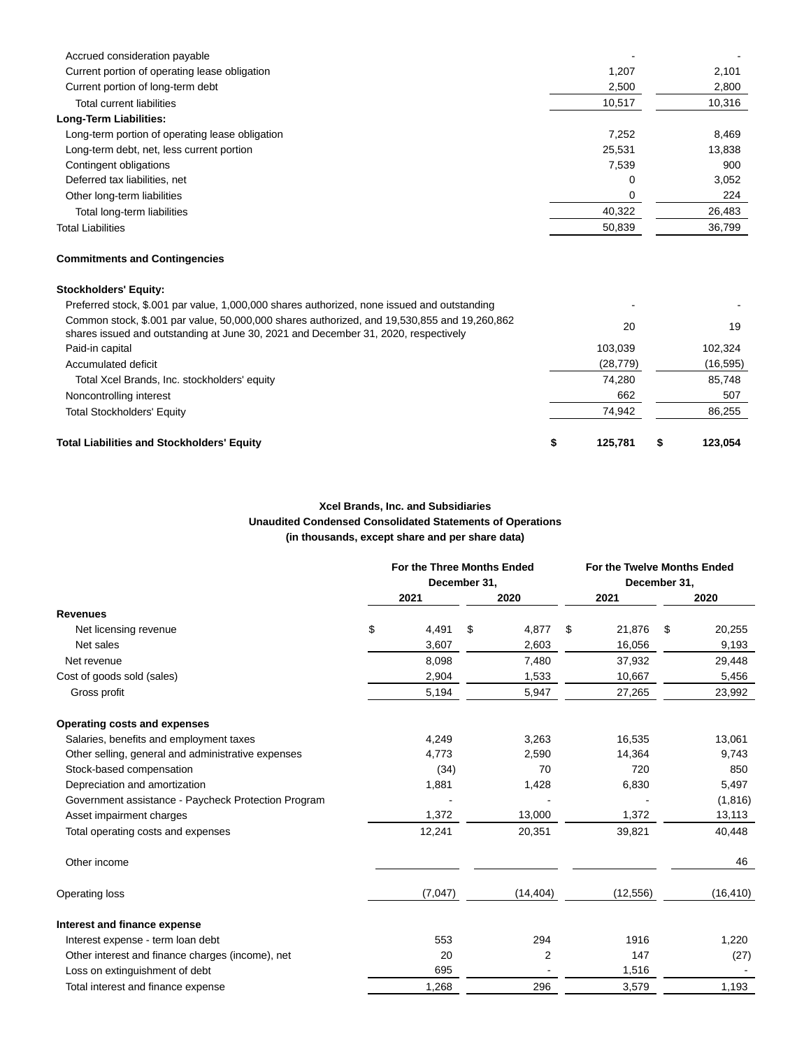| <b>Total Liabilities and Stockholders' Equity</b>                                                                                                                                 | \$<br>125,781 | \$<br>123,054 |
|-----------------------------------------------------------------------------------------------------------------------------------------------------------------------------------|---------------|---------------|
| <b>Total Stockholders' Equity</b>                                                                                                                                                 | 74,942        | 86,255        |
| Noncontrolling interest                                                                                                                                                           | 662           | 507           |
| Total Xcel Brands, Inc. stockholders' equity                                                                                                                                      | 74,280        | 85,748        |
| Accumulated deficit                                                                                                                                                               | (28, 779)     | (16, 595)     |
| Paid-in capital                                                                                                                                                                   | 103,039       | 102,324       |
| Common stock, \$.001 par value, 50,000,000 shares authorized, and 19,530,855 and 19,260,862<br>shares issued and outstanding at June 30, 2021 and December 31, 2020, respectively | 20            | 19            |
| <b>Stockholders' Equity:</b><br>Preferred stock, \$.001 par value, 1,000,000 shares authorized, none issued and outstanding                                                       |               |               |
| <b>Commitments and Contingencies</b>                                                                                                                                              |               |               |
| <b>Total Liabilities</b>                                                                                                                                                          | 50,839        | 36,799        |
| Total long-term liabilities                                                                                                                                                       | 40,322        | 26,483        |
| Other long-term liabilities                                                                                                                                                       | 0             | 224           |
| Deferred tax liabilities, net                                                                                                                                                     | 0             | 3,052         |
| Contingent obligations                                                                                                                                                            | 7,539         | 900           |
| Long-term debt, net, less current portion                                                                                                                                         | 25,531        | 13,838        |
| Long-term portion of operating lease obligation                                                                                                                                   | 7,252         | 8,469         |
| Long-Term Liabilities:                                                                                                                                                            |               |               |
| Total current liabilities                                                                                                                                                         | 10,517        | 10,316        |
| Current portion of long-term debt                                                                                                                                                 | 2,500         | 2,800         |
| Current portion of operating lease obligation                                                                                                                                     | 1,207         | 2,101         |
| Accrued consideration payable                                                                                                                                                     |               |               |

# **Xcel Brands, Inc. and Subsidiaries Unaudited Condensed Consolidated Statements of Operations (in thousands, except share and per share data)**

|                                                     | For the Three Months Ended<br>December 31, |         |    |           |    |           | For the Twelve Months Ended<br>December 31, |           |  |
|-----------------------------------------------------|--------------------------------------------|---------|----|-----------|----|-----------|---------------------------------------------|-----------|--|
|                                                     |                                            | 2021    |    | 2020      |    | 2021      |                                             | 2020      |  |
| <b>Revenues</b>                                     |                                            |         |    |           |    |           |                                             |           |  |
| Net licensing revenue                               | \$                                         | 4,491   | \$ | 4,877     | \$ | 21,876    | \$                                          | 20,255    |  |
| Net sales                                           |                                            | 3,607   |    | 2,603     |    | 16,056    |                                             | 9,193     |  |
| Net revenue                                         |                                            | 8,098   |    | 7,480     |    | 37,932    |                                             | 29,448    |  |
| Cost of goods sold (sales)                          |                                            | 2,904   |    | 1,533     |    | 10,667    |                                             | 5,456     |  |
| Gross profit                                        |                                            | 5,194   |    | 5,947     |    | 27,265    |                                             | 23,992    |  |
| Operating costs and expenses                        |                                            |         |    |           |    |           |                                             |           |  |
| Salaries, benefits and employment taxes             |                                            | 4,249   |    | 3,263     |    | 16,535    |                                             | 13,061    |  |
| Other selling, general and administrative expenses  |                                            | 4,773   |    | 2,590     |    | 14,364    |                                             | 9,743     |  |
| Stock-based compensation                            |                                            | (34)    |    | 70        |    | 720       |                                             | 850       |  |
| Depreciation and amortization                       |                                            | 1,881   |    | 1,428     |    | 6,830     |                                             | 5,497     |  |
| Government assistance - Paycheck Protection Program |                                            |         |    |           |    |           |                                             | (1,816)   |  |
| Asset impairment charges                            |                                            | 1,372   |    | 13,000    |    | 1,372     |                                             | 13,113    |  |
| Total operating costs and expenses                  |                                            | 12,241  |    | 20,351    |    | 39,821    |                                             | 40,448    |  |
| Other income                                        |                                            |         |    |           |    |           |                                             | 46        |  |
| Operating loss                                      |                                            | (7,047) |    | (14, 404) |    | (12, 556) |                                             | (16, 410) |  |
| Interest and finance expense                        |                                            |         |    |           |    |           |                                             |           |  |
| Interest expense - term loan debt                   |                                            | 553     |    | 294       |    | 1916      |                                             | 1,220     |  |
| Other interest and finance charges (income), net    |                                            | 20      |    | 2         |    | 147       |                                             | (27)      |  |
| Loss on extinguishment of debt                      |                                            | 695     |    |           |    | 1,516     |                                             |           |  |
| Total interest and finance expense                  |                                            | 1,268   |    | 296       |    | 3,579     |                                             | 1,193     |  |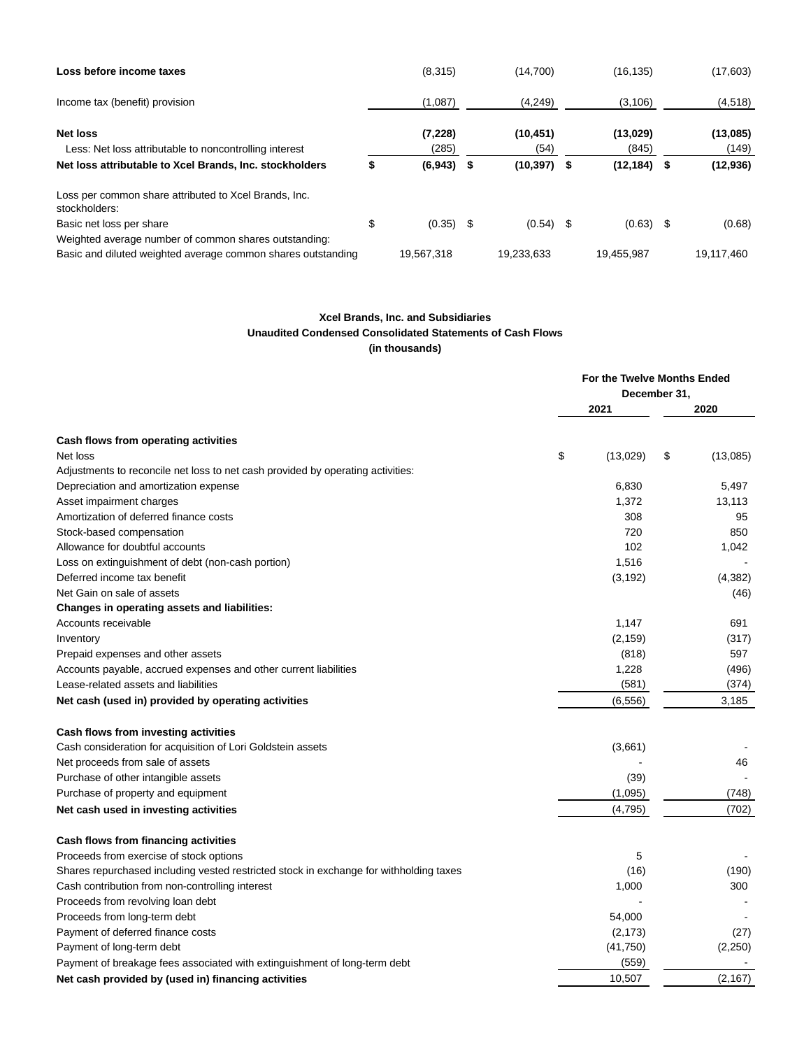| Loss before income taxes                                                  |    | (8,315)           |      | (14,700)          | (16, 135)         |      | (17,603)          |
|---------------------------------------------------------------------------|----|-------------------|------|-------------------|-------------------|------|-------------------|
| Income tax (benefit) provision                                            |    | (1,087)           |      | (4,249)           | (3, 106)          |      | (4, 518)          |
| <b>Net loss</b><br>Less: Net loss attributable to noncontrolling interest |    | (7, 228)<br>(285) |      | (10, 451)<br>(54) | (13,029)<br>(845) |      | (13,085)<br>(149) |
| Net loss attributable to Xcel Brands, Inc. stockholders                   | S  | (6,943)           | - \$ | $(10, 397)$ \$    | (12, 184)         | -S   | (12, 936)         |
| Loss per common share attributed to Xcel Brands, Inc.<br>stockholders:    |    |                   |      |                   |                   |      |                   |
| Basic net loss per share                                                  | \$ | $(0.35)$ \$       |      | $(0.54)$ \$       | (0.63)            | - \$ | (0.68)            |
| Weighted average number of common shares outstanding:                     |    |                   |      |                   |                   |      |                   |
| Basic and diluted weighted average common shares outstanding              |    | 19.567.318        |      | 19,233,633        | 19.455.987        |      | 19,117,460        |

# **Xcel Brands, Inc. and Subsidiaries Unaudited Condensed Consolidated Statements of Cash Flows (in thousands)**

|                                                                                        | For the Twelve Months Ended<br>December 31, |          |    |          |
|----------------------------------------------------------------------------------------|---------------------------------------------|----------|----|----------|
|                                                                                        |                                             | 2021     |    | 2020     |
| Cash flows from operating activities                                                   |                                             |          |    |          |
| Net loss                                                                               | \$                                          | (13,029) | \$ | (13,085) |
| Adjustments to reconcile net loss to net cash provided by operating activities:        |                                             |          |    |          |
| Depreciation and amortization expense                                                  |                                             | 6,830    |    | 5,497    |
| Asset impairment charges                                                               |                                             | 1,372    |    | 13,113   |
| Amortization of deferred finance costs                                                 |                                             | 308      |    | 95       |
| Stock-based compensation                                                               |                                             | 720      |    | 850      |
| Allowance for doubtful accounts                                                        |                                             | 102      |    | 1,042    |
| Loss on extinguishment of debt (non-cash portion)                                      |                                             | 1,516    |    |          |
| Deferred income tax benefit                                                            |                                             | (3, 192) |    | (4,382)  |
| Net Gain on sale of assets                                                             |                                             |          |    | (46)     |
| Changes in operating assets and liabilities:                                           |                                             |          |    |          |
| Accounts receivable                                                                    |                                             | 1,147    |    | 691      |
| Inventory                                                                              |                                             | (2, 159) |    | (317)    |
| Prepaid expenses and other assets                                                      |                                             | (818)    |    | 597      |
| Accounts payable, accrued expenses and other current liabilities                       |                                             | 1,228    |    | (496)    |
| Lease-related assets and liabilities                                                   |                                             | (581)    |    | (374)    |
| Net cash (used in) provided by operating activities                                    |                                             | (6, 556) |    | 3,185    |
| Cash flows from investing activities                                                   |                                             |          |    |          |
| Cash consideration for acquisition of Lori Goldstein assets                            |                                             | (3,661)  |    |          |
| Net proceeds from sale of assets                                                       |                                             |          |    | 46       |
| Purchase of other intangible assets                                                    |                                             | (39)     |    |          |
| Purchase of property and equipment                                                     |                                             | (1,095)  |    | (748)    |
| Net cash used in investing activities                                                  |                                             | (4, 795) |    | (702)    |
| Cash flows from financing activities                                                   |                                             |          |    |          |
| Proceeds from exercise of stock options                                                |                                             | 5        |    |          |
| Shares repurchased including vested restricted stock in exchange for withholding taxes |                                             | (16)     |    | (190)    |
| Cash contribution from non-controlling interest                                        |                                             | 1,000    |    | 300      |
| Proceeds from revolving loan debt                                                      |                                             |          |    |          |
| Proceeds from long-term debt                                                           |                                             | 54,000   |    |          |
| Payment of deferred finance costs                                                      |                                             | (2, 173) |    | (27)     |
| Payment of long-term debt                                                              |                                             | (41,750) |    | (2, 250) |
| Payment of breakage fees associated with extinguishment of long-term debt              |                                             | (559)    |    |          |
| Net cash provided by (used in) financing activities                                    |                                             | 10,507   |    | (2, 167) |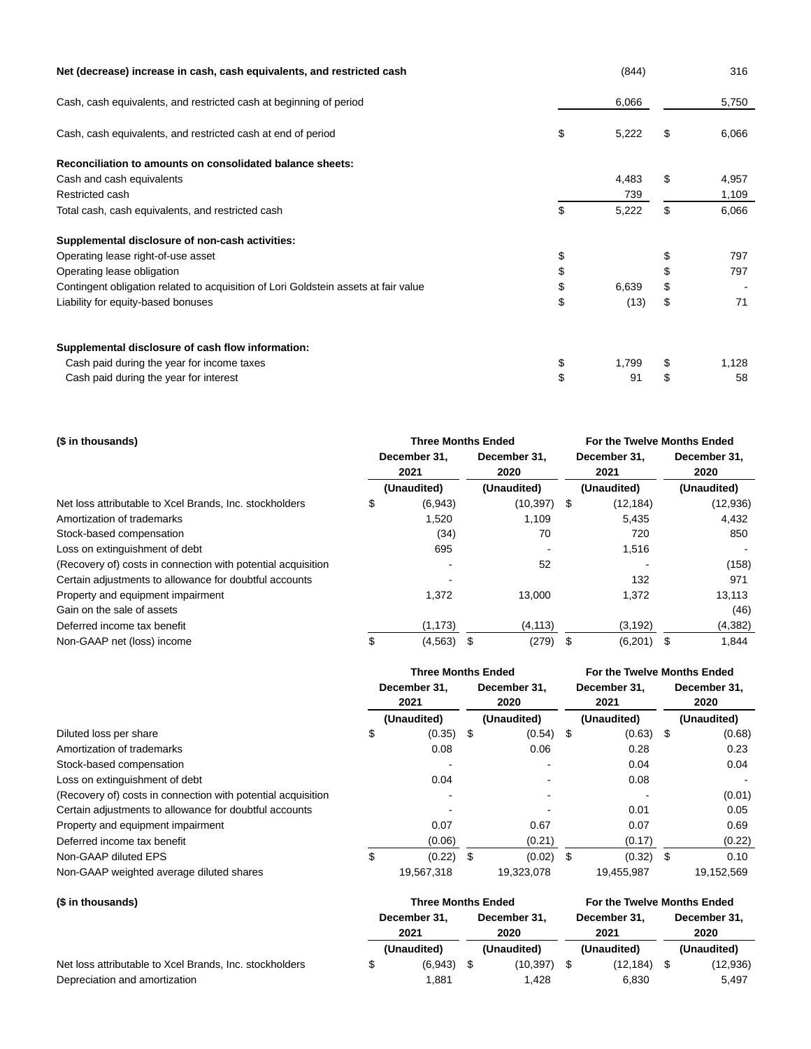| Net (decrease) increase in cash, cash equivalents, and restricted cash              | (844)       | 316         |
|-------------------------------------------------------------------------------------|-------------|-------------|
| Cash, cash equivalents, and restricted cash at beginning of period                  | 6,066       | 5,750       |
| Cash, cash equivalents, and restricted cash at end of period                        | \$<br>5,222 | \$<br>6,066 |
| Reconciliation to amounts on consolidated balance sheets:                           |             |             |
| Cash and cash equivalents                                                           | 4,483       | \$<br>4,957 |
| Restricted cash                                                                     | 739         | 1,109       |
| Total cash, cash equivalents, and restricted cash                                   | \$<br>5,222 | \$<br>6,066 |
| Supplemental disclosure of non-cash activities:                                     |             |             |
| Operating lease right-of-use asset                                                  | \$          | 797         |
| Operating lease obligation                                                          | \$          | 797         |
| Contingent obligation related to acquisition of Lori Goldstein assets at fair value | \$<br>6,639 | \$          |
| Liability for equity-based bonuses                                                  | \$<br>(13)  | \$<br>71    |
| Supplemental disclosure of cash flow information:                                   |             |             |
| Cash paid during the year for income taxes                                          | \$<br>1,799 | 1,128       |
| Cash paid during the year for interest                                              | 91          | \$<br>58    |

| (\$ in thousands)                                            |    | <b>Three Months Ended</b> |                      |                | For the Twelve Months Ended |                      |    |                      |  |
|--------------------------------------------------------------|----|---------------------------|----------------------|----------------|-----------------------------|----------------------|----|----------------------|--|
|                                                              |    | December 31.<br>2021      | December 31.<br>2020 |                |                             | December 31.<br>2021 |    | December 31.<br>2020 |  |
|                                                              |    | (Unaudited)               |                      | (Unaudited)    |                             | (Unaudited)          |    | (Unaudited)          |  |
| Net loss attributable to Xcel Brands, Inc. stockholders      | \$ | (6,943)                   |                      | $(10, 397)$ \$ |                             | (12, 184)            |    | (12, 936)            |  |
| Amortization of trademarks                                   |    | 1,520                     |                      | 1,109          |                             | 5,435                |    | 4,432                |  |
| Stock-based compensation                                     |    | (34)                      |                      | 70             |                             | 720                  |    | 850                  |  |
| Loss on extinguishment of debt                               |    | 695                       |                      |                |                             | 1,516                |    |                      |  |
| (Recovery of) costs in connection with potential acquisition |    |                           |                      | 52             |                             |                      |    | (158)                |  |
| Certain adjustments to allowance for doubtful accounts       |    |                           |                      |                |                             | 132                  |    | 971                  |  |
| Property and equipment impairment                            |    | 1,372                     |                      | 13,000         |                             | 1,372                |    | 13,113               |  |
| Gain on the sale of assets                                   |    |                           |                      |                |                             |                      |    | (46)                 |  |
| Deferred income tax benefit                                  |    | (1, 173)                  |                      | (4, 113)       |                             | (3, 192)             |    | (4,382)              |  |
| Non-GAAP net (loss) income                                   | \$ | (4, 563)                  | \$                   | (279)          |                             | (6,201)              | \$ | 1,844                |  |

|                                                              | <b>Three Months Ended</b> |             |              |             |              |             |      | For the Twelve Months Ended |  |  |
|--------------------------------------------------------------|---------------------------|-------------|--------------|-------------|--------------|-------------|------|-----------------------------|--|--|
|                                                              | December 31.              |             | December 31. |             | December 31. |             |      | December 31.                |  |  |
|                                                              |                           | 2021        |              | 2020        |              | 2021        |      |                             |  |  |
|                                                              |                           | (Unaudited) |              | (Unaudited) |              | (Unaudited) |      | (Unaudited)                 |  |  |
| Diluted loss per share                                       | \$                        | (0.35)      | - \$         | $(0.54)$ \$ |              | (0.63)      | - \$ | (0.68)                      |  |  |
| Amortization of trademarks                                   |                           | 0.08        |              | 0.06        |              | 0.28        |      | 0.23                        |  |  |
| Stock-based compensation                                     |                           |             |              |             |              | 0.04        |      | 0.04                        |  |  |
| Loss on extinguishment of debt                               |                           | 0.04        |              |             |              | 0.08        |      |                             |  |  |
| (Recovery of) costs in connection with potential acquisition |                           |             |              |             |              |             |      | (0.01)                      |  |  |
| Certain adjustments to allowance for doubtful accounts       |                           |             |              |             |              | 0.01        |      | 0.05                        |  |  |
| Property and equipment impairment                            |                           | 0.07        |              | 0.67        |              | 0.07        |      | 0.69                        |  |  |
| Deferred income tax benefit                                  |                           | (0.06)      |              | (0.21)      |              | (0.17)      |      | (0.22)                      |  |  |
| Non-GAAP diluted EPS                                         | \$                        | (0.22)      | \$           | $(0.02)$ \$ |              | (0.32)      | -\$  | 0.10                        |  |  |
| Non-GAAP weighted average diluted shares                     |                           | 19.567.318  |              | 19.323.078  |              | 19.455.987  |      | 19.152.569                  |  |  |

| (\$ in thousands)<br>Net loss attributable to Xcel Brands, Inc. stockholders | <b>Three Months Ended</b>  |  | For the Twelve Months Ended |      |              |              |          |
|------------------------------------------------------------------------------|----------------------------|--|-----------------------------|------|--------------|--------------|----------|
|                                                                              | December 31.               |  | December 31.                |      | December 31, | December 31. |          |
|                                                                              | 2021                       |  | 2020                        | 2021 |              | 2020         |          |
|                                                                              | (Unaudited)<br>(Unaudited) |  | (Unaudited)                 |      | (Unaudited)  |              |          |
|                                                                              | (6,943)                    |  | (10, 397)                   |      | (12, 184)    |              | (12,936) |
| Depreciation and amortization                                                | 881. ا                     |  | 1.428                       |      | 6.830        |              | 5,497    |